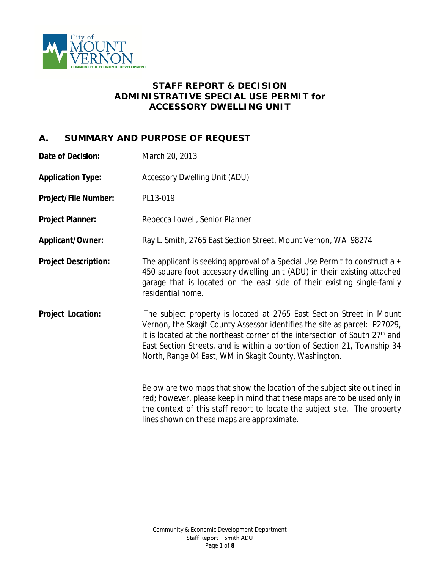

## **STAFF REPORT & DECISION ADMINISTRATIVE SPECIAL USE PERMIT** *for* **ACCESSORY DWELLING UNIT**

# **A. SUMMARY AND PURPOSE OF REQUEST**

| Date of Decision:           | March 20, 2013                                                                                                                                                                                                                                                                                                                                                                     |  |
|-----------------------------|------------------------------------------------------------------------------------------------------------------------------------------------------------------------------------------------------------------------------------------------------------------------------------------------------------------------------------------------------------------------------------|--|
| <b>Application Type:</b>    | <b>Accessory Dwelling Unit (ADU)</b>                                                                                                                                                                                                                                                                                                                                               |  |
| <b>Project/File Number:</b> | PL13-019                                                                                                                                                                                                                                                                                                                                                                           |  |
| <b>Project Planner:</b>     | Rebecca Lowell, Senior Planner                                                                                                                                                                                                                                                                                                                                                     |  |
| <b>Applicant/Owner:</b>     | Ray L. Smith, 2765 East Section Street, Mount Vernon, WA 98274                                                                                                                                                                                                                                                                                                                     |  |
| <b>Project Description:</b> | The applicant is seeking approval of a Special Use Permit to construct a $\pm$<br>450 square foot accessory dwelling unit (ADU) in their existing attached<br>garage that is located on the east side of their existing single-family<br>residential home.                                                                                                                         |  |
| <b>Project Location:</b>    | The subject property is located at 2765 East Section Street in Mount<br>Vernon, the Skagit County Assessor identifies the site as parcel: P27029,<br>it is located at the northeast corner of the intersection of South 27 <sup>th</sup> and<br>East Section Streets, and is within a portion of Section 21, Township 34<br>North, Range 04 East, WM in Skagit County, Washington. |  |
|                             | Below are two maps that show the location of the subject site outlined in<br>red; however, please keep in mind that these maps are to be used only in<br>the context of this staff report to locate the subject site. The property                                                                                                                                                 |  |

lines shown on these maps are approximate.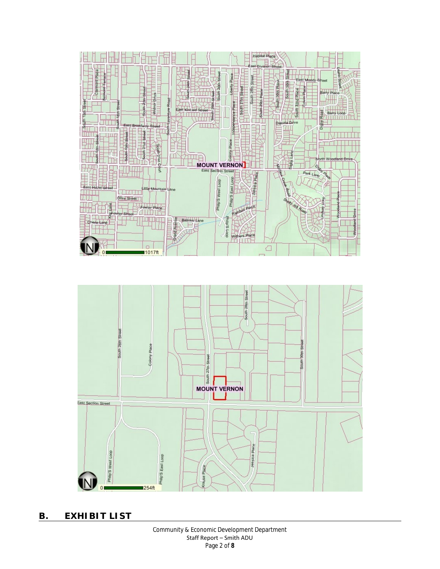



**B. EXHIBIT LIST**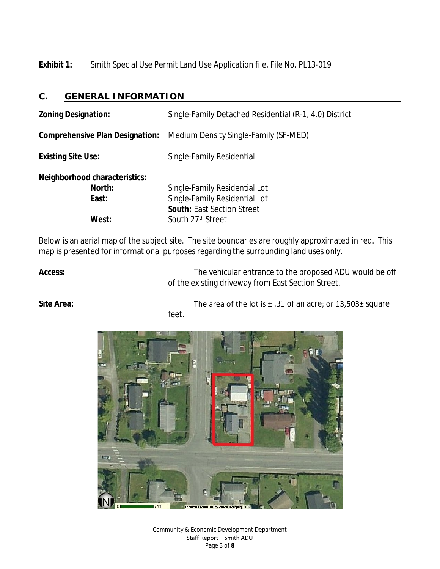**Exhibit 1:** Smith Special Use Permit Land Use Application file, File No. PL13-019

## **C. GENERAL INFORMATION**

| <b>Zoning Designation:</b>                                | Single-Family Detached Residential (R-1, 4.0) District                                                                               |
|-----------------------------------------------------------|--------------------------------------------------------------------------------------------------------------------------------------|
| <b>Comprehensive Plan Designation:</b>                    | Medium Density Single-Family (SF-MED)                                                                                                |
| <b>Existing Site Use:</b>                                 | Single-Family Residential                                                                                                            |
| Neighborhood characteristics:<br>North:<br>East:<br>West: | Single-Family Residential Lot<br>Single-Family Residential Lot<br><b>South: East Section Street</b><br>South 27 <sup>th</sup> Street |

Below is an aerial map of the subject site. The site boundaries are roughly approximated in red. This map is presented for informational purposes regarding the surrounding land uses only.

Access: **Access:** The vehicular entrance to the proposed ADU would be off of the existing driveway from East Section Street.

**Site Area:** The area of the lot is  $\pm$  .31 of an acre; or 13,503 $\pm$  square feet.



Community & Economic Development Department Staff Report – Smith ADU Page 3 of **8**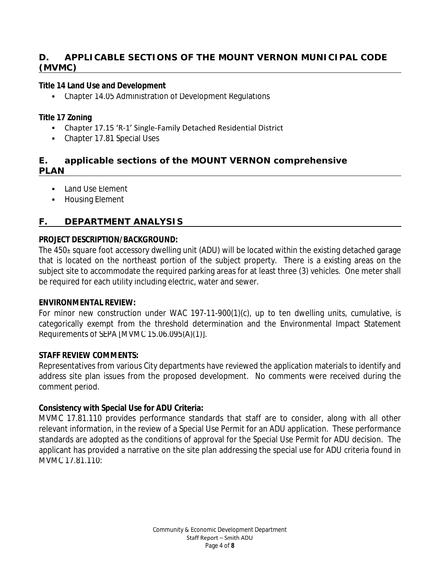## **D. APPLICABLE SECTIONS OF THE MOUNT VERNON MUNICIPAL CODE (MVMC)**

#### **Title 14 Land Use and Development**

Chapter 14.05 Administration of Development Regulations

#### **Title 17 Zoning**

- Chapter 17.15 'R-1' Single-Family Detached Residential District
- Chapter 17.81 Special Uses

## **E. applicable sections of the MOUNT VERNON comprehensive PLAN**

- **Land Use Element**
- **-** Housing Element

## **F. DEPARTMENT ANALYSIS**

#### *PROJECT DESCRIPTION/BACKGROUND:*

The 450± square foot accessory dwelling unit (ADU) will be located within the existing detached garage that is located on the northeast portion of the subject property. There is a existing areas on the subject site to accommodate the required parking areas for at least three (3) vehicles. One meter shall be required for each utility including electric, water and sewer.

#### *ENVIRONMENTAL REVIEW:*

For minor new construction under WAC 197-11-900(1)(c), up to ten dwelling units, cumulative, is categorically exempt from the threshold determination and the Environmental Impact Statement Requirements of SEPA [MVMC 15.06.095(A)(1)].

#### *STAFF REVIEW COMMENTS:*

Representatives from various City departments have reviewed the application materials to identify and address site plan issues from the proposed development. No comments were received during the comment period.

#### **Consistency with Special Use for ADU Criteria:**

MVMC 17.81.110 provides performance standards that staff are to consider, along with all other relevant information, in the review of a Special Use Permit for an ADU application. These performance standards are adopted as the conditions of approval for the Special Use Permit for ADU decision. The applicant has provided a narrative on the site plan addressing the special use for ADU criteria found in MVMC 17.81.110: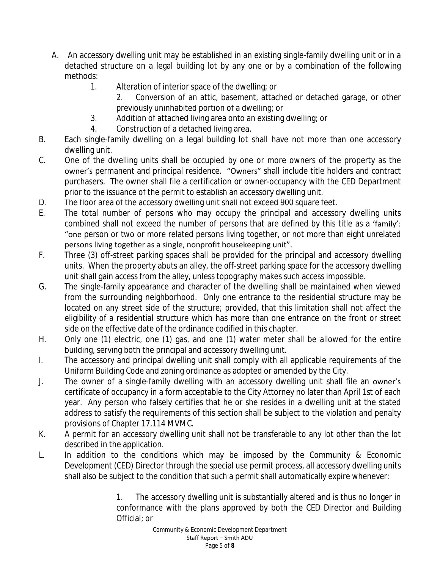- A. An accessory dwelling unit may be established in an existing single-family dwelling unit or in a detached structure on a legal building lot by any one or by a combination of the following methods:
	- 1. Alteration of interior space of the dwelling; or
		- 2. Conversion of an attic, basement, attached or detached garage, or other previously uninhabited portion of a dwelling; or
	- 3. Addition of attached living area onto an existing dwelling; or
	- 4. Construction of a detached living area.
- B. Each single-family dwelling on a legal building lot shall have not more than one accessory dwelling unit.
- C. One of the dwelling units shall be occupied by one or more owners of the property as the owner's permanent and principal residence. "Owners" shall include title holders and contract purchasers. The owner shall file a certification or owner-occupancy with the CED Department prior to the issuance of the permit to establish an accessory dwelling unit.
- D. The floor area of the accessory dwelling unit shall not exceed 900 square feet.
- E. The total number of persons who may occupy the principal and accessory dwelling units combined shall not exceed the number of persons that are defined by this title as a 'family': "one person or two or more related persons living together, or not more than eight unrelated persons living together as a single, nonprofit housekeeping unit".
- F. Three (3) off-street parking spaces shall be provided for the principal and accessory dwelling units. When the property abuts an alley, the off-street parking space for the accessory dwelling unit shall gain access from the alley, unless topography makes such access impossible.
- G. The single-family appearance and character of the dwelling shall be maintained when viewed from the surrounding neighborhood. Only one entrance to the residential structure may be located on any street side of the structure; provided, that this limitation shall not affect the eligibility of a residential structure which has more than one entrance on the front or street side on the effective date of the ordinance codified in this chapter.
- H. Only one (1) electric, one (1) gas, and one (1) water meter shall be allowed for the entire building, serving both the principal and accessory dwelling unit.
- I. The accessory and principal dwelling unit shall comply with all applicable requirements of the Uniform Building Code and zoning ordinance as adopted or amended by the City.
- J. The owner of a single-family dwelling with an accessory dwelling unit shall file an owner's certificate of occupancy in a form acceptable to the City Attorney no later than April 1st of each year. Any person who falsely certifies that he or she resides in a dwelling unit at the stated address to satisfy the requirements of this section shall be subject to the violation and penalty provisions of Chapter 17.114 MVMC.
- K. A permit for an accessory dwelling unit shall not be transferable to any lot other than the lot described in the application.
- L. In addition to the conditions which may be imposed by the Community & Economic Development (CED) Director through the special use permit process, all accessory dwelling units shall also be subject to the condition that such a permit shall automatically expire whenever:

1. The accessory dwelling unit is substantially altered and is thus no longer in conformance with the plans approved by both the CED Director and Building Official; or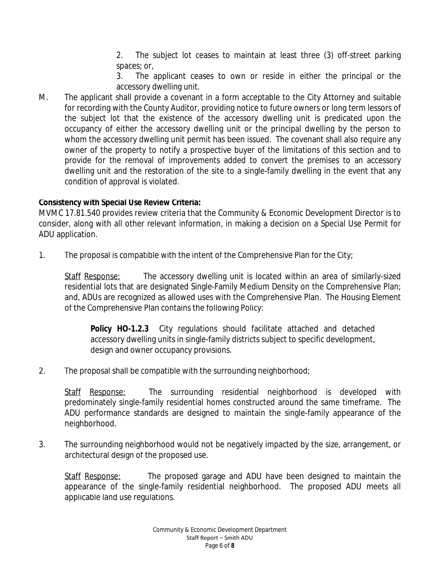2. The subject lot ceases to maintain at least three (3) off-street parking spaces; or,

3. The applicant ceases to own or reside in either the principal or the accessory dwelling unit.

M. The applicant shall provide a covenant in a form acceptable to the City Attorney and suitable for recording with the County Auditor, providing notice to future owners or long term lessors of the subject lot that the existence of the accessory dwelling unit is predicated upon the occupancy of either the accessory dwelling unit or the principal dwelling by the person to whom the accessory dwelling unit permit has been issued. The covenant shall also require any owner of the property to notify a prospective buyer of the limitations of this section and to provide for the removal of improvements added to convert the premises to an accessory dwelling unit and the restoration of the site to a single-family dwelling in the event that any condition of approval is violated.

## **Consistency with Special Use Review Criteria:**

MVMC 17.81.540 provides review criteria that the Community & Economic Development Director is to consider, along with all other relevant information, in making a decision on a Special Use Permit for ADU application.

1. The proposal is compatible with the intent of the Comprehensive Plan for the City;

Staff Response: The accessory dwelling unit is located within an area of similarly-sized residential lots that are designated Single-Family Medium Density on the Comprehensive Plan; and, ADUs are recognized as allowed uses with the Comprehensive Plan. The Housing Element of the Comprehensive Plan contains the following Policy:

**Policy HO-1.2.3** City regulations should facilitate attached and detached accessory dwelling units in single-family districts subject to specific development, design and owner occupancy provisions.

2. The proposal shall be compatible with the surrounding neighborhood;

Staff Response: The surrounding residential neighborhood is developed with predominately single-family residential homes constructed around the same timeframe. The ADU performance standards are designed to maintain the single-family appearance of the neighborhood.

3. The surrounding neighborhood would not be negatively impacted by the size, arrangement, or architectural design of the proposed use.

Staff Response: The proposed garage and ADU have been designed to maintain the appearance of the single-family residential neighborhood. The proposed ADU meets all applicable land use regulations.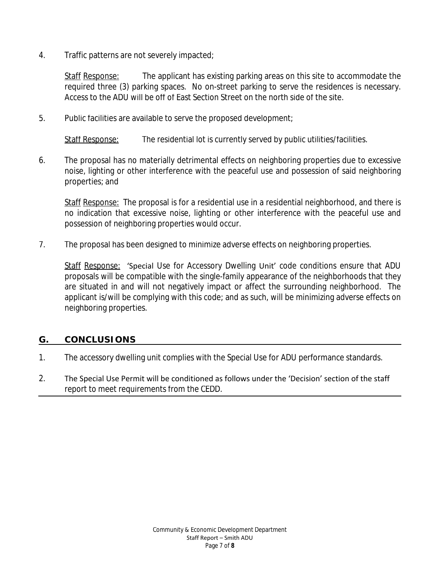4. Traffic patterns are not severely impacted;

Staff Response: The applicant has existing parking areas on this site to accommodate the required three (3) parking spaces. No on-street parking to serve the residences is necessary. Access to the ADU will be off of East Section Street on the north side of the site.

5. Public facilities are available to serve the proposed development;

Staff Response: The residential lot is currently served by public utilities/facilities.

6. The proposal has no materially detrimental effects on neighboring properties due to excessive noise, lighting or other interference with the peaceful use and possession of said neighboring properties; and

Staff Response: The proposal is for a residential use in a residential neighborhood, and there is no indication that excessive noise, lighting or other interference with the peaceful use and possession of neighboring properties would occur.

7. The proposal has been designed to minimize adverse effects on neighboring properties.

Staff Response: 'Special Use for Accessory Dwelling Unit' code conditions ensure that ADU proposals will be compatible with the single-family appearance of the neighborhoods that they are situated in and will not negatively impact or affect the surrounding neighborhood. The applicant is/will be complying with this code; and as such, will be minimizing adverse effects on neighboring properties.

#### **G. CONCLUSIONS**

- 1. The accessory dwelling unit complies with the Special Use for ADU performance standards.
- 2. The Special Use Permit will be conditioned as follows under the 'Decision' section of the staff report to meet requirements from the CEDD.